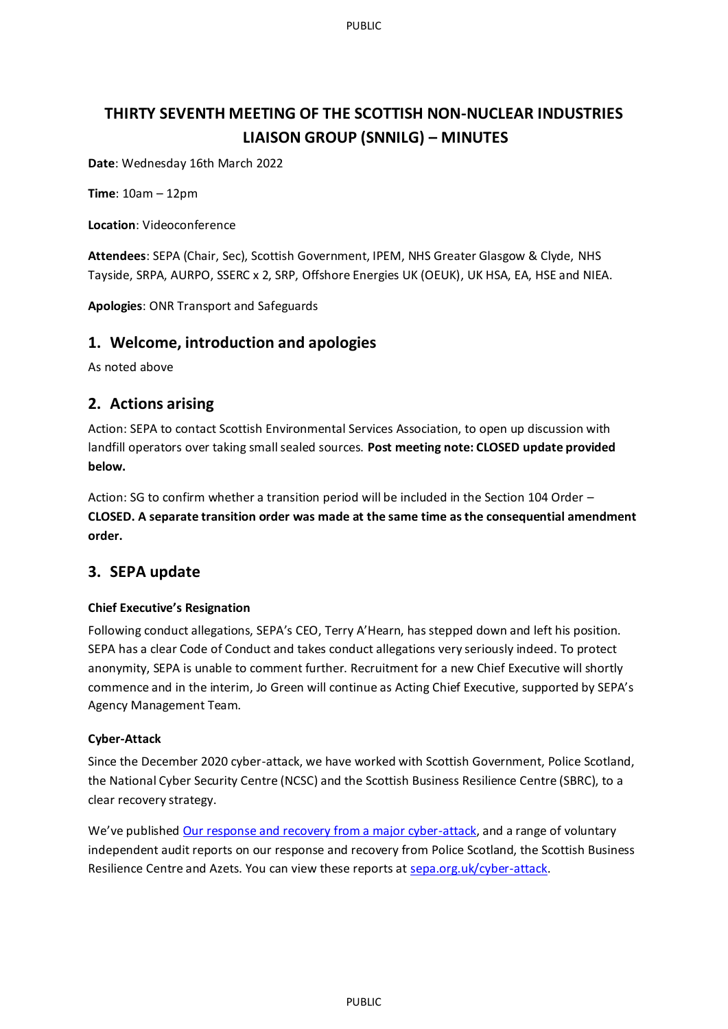PUBLIC

# **THIRTY SEVENTH MEETING OF THE SCOTTISH NON-NUCLEAR INDUSTRIES LIAISON GROUP (SNNILG) – MINUTES**

**Date**: Wednesday 16th March 2022

**Time**: 10am – 12pm

**Location**: Videoconference

**Attendees**: SEPA (Chair, Sec), Scottish Government, IPEM, NHS Greater Glasgow & Clyde, NHS Tayside, SRPA, AURPO, SSERC x 2, SRP, Offshore Energies UK (OEUK), UK HSA, EA, HSE and NIEA.

**Apologies**: ONR Transport and Safeguards

### **1. Welcome, introduction and apologies**

As noted above

## **2. Actions arising**

Action: SEPA to contact Scottish Environmental Services Association, to open up discussion with landfill operators over taking small sealed sources. **Post meeting note: CLOSED update provided below.**

Action: SG to confirm whether a transition period will be included in the Section 104 Order – **CLOSED. A separate transition order was made at the same time as the consequential amendment order.**

## **3. SEPA update**

#### **Chief Executive's Resignation**

Following conduct allegations, SEPA's CEO, Terry A'Hearn, has stepped down and left his position. SEPA has a clear Code of Conduct and takes conduct allegations very seriously indeed. To protect anonymity, SEPA is unable to comment further. Recruitment for a new Chief Executive will shortly commence and in the interim, Jo Green will continue as Acting Chief Executive, supported by SEPA's Agency Management Team.

#### **Cyber-Attack**

Since the December 2020 cyber-attack, we have worked with Scottish Government, Police Scotland, the National Cyber Security Centre (NCSC) and the Scottish Business Resilience Centre (SBRC), to a clear recovery strategy. 

We've published [Our response and recovery from a major cyber-attack](https://www.sepa.org.uk/media/593774/sepas-response-and-recovery-from-a-major-cyber-attack.pdf), and a range of voluntary independent audit reports on our response and recovery from Police Scotland, the Scottish Business Resilience Centre and Azets. You can view these reports at [sepa.org.uk/cyber-attack](https://www.sepa.org.uk/about-us/cyber-attack/).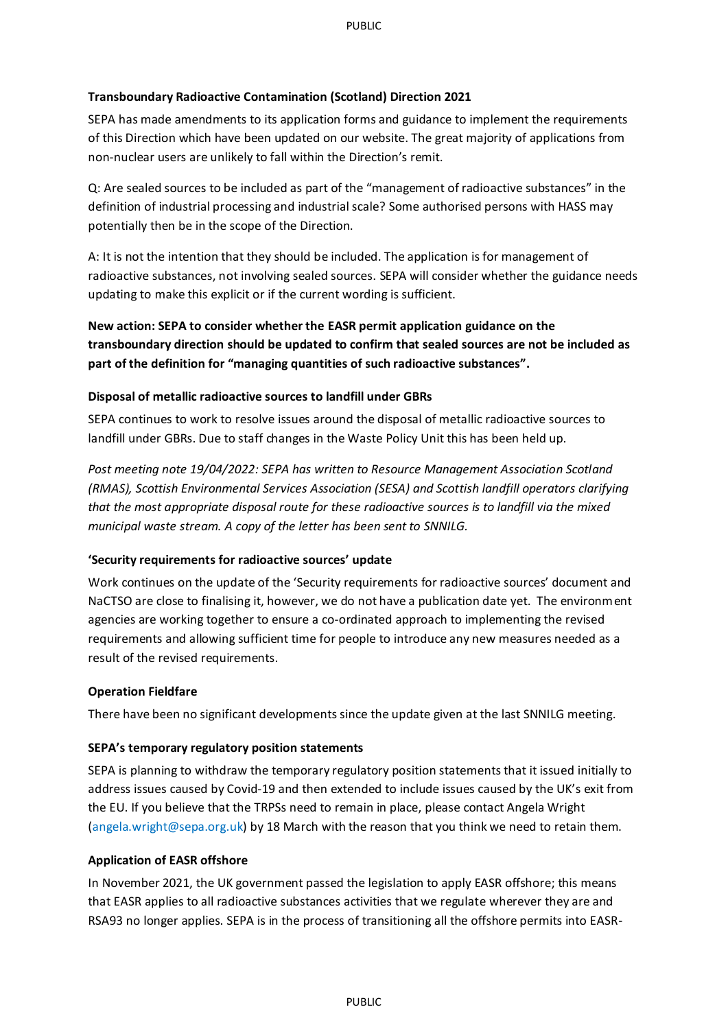#### **Transboundary Radioactive Contamination (Scotland) Direction 2021**

SEPA has made amendments to its application forms and guidance to implement the requirements of this Direction which have been updated on our website. The great majority of applications from non-nuclear users are unlikely to fall within the Direction's remit.

Q: Are sealed sources to be included as part of the "management of radioactive substances" in the definition of industrial processing and industrial scale? Some authorised persons with HASS may potentially then be in the scope of the Direction.

A: It is not the intention that they should be included. The application is for management of radioactive substances, not involving sealed sources. SEPA will consider whether the guidance needs updating to make this explicit or if the current wording is sufficient.

**New action: SEPA to consider whether the EASR permit application guidance on the transboundary direction should be updated to confirm that sealed sources are not be included as part of the definition for "managing quantities of such radioactive substances".**

#### **Disposal of metallic radioactive sources to landfill under GBRs**

SEPA continues to work to resolve issues around the disposal of metallic radioactive sources to landfill under GBRs. Due to staff changes in the Waste Policy Unit this has been held up.

*Post meeting note 19/04/2022: SEPA has written to Resource Management Association Scotland (RMAS), Scottish Environmental Services Association (SESA) and Scottish landfill operators clarifying that the most appropriate disposal route for these radioactive sources is to landfill via the mixed municipal waste stream. A copy of the letter has been sent to SNNILG.*

#### **'Security requirements for radioactive sources' update**

Work continues on the update of the 'Security requirements for radioactive sources' document and NaCTSO are close to finalising it, however, we do not have a publication date yet. The environment agencies are working together to ensure a co-ordinated approach to implementing the revised requirements and allowing sufficient time for people to introduce any new measures needed as a result of the revised requirements.

#### **Operation Fieldfare**

There have been no significant developments since the update given at the last SNNILG meeting.

#### **SEPA's temporary regulatory position statements**

SEPA is planning to withdraw the temporary regulatory position statements that it issued initially to address issues caused by Covid-19 and then extended to include issues caused by the UK's exit from the EU. If you believe that the TRPSs need to remain in place, please contact Angela Wright [\(angela.wright@sepa.org.uk\)](mailto:angela.wright@sepa.org.uk) by 18 March with the reason that you think we need to retain them.

#### **Application of EASR offshore**

In November 2021, the UK government passed the legislation to apply EASR offshore; this means that EASR applies to all radioactive substances activities that we regulate wherever they are and RSA93 no longer applies. SEPA is in the process of transitioning all the offshore permits into EASR-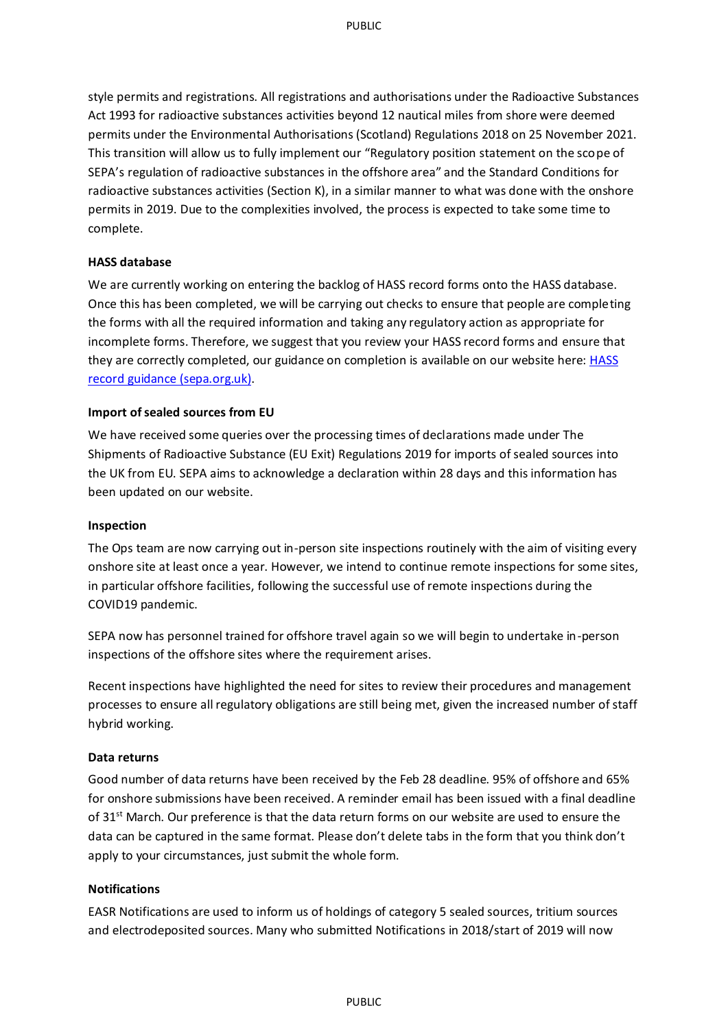style permits and registrations. All registrations and authorisations under the Radioactive Substances Act 1993 for radioactive substances activities beyond 12 nautical miles from shore were deemed permits under the Environmental Authorisations (Scotland) Regulations 2018 on 25 November 2021. This transition will allow us to fully implement our "Regulatory position statement on the scope of SEPA's regulation of radioactive substances in the offshore area" and the Standard Conditions for radioactive substances activities (Section K), in a similar manner to what was done with the onshore permits in 2019. Due to the complexities involved, the process is expected to take some time to complete.

#### **HASS database**

We are currently working on entering the backlog of HASS record forms onto the HASS database. Once this has been completed, we will be carrying out checks to ensure that people are completing the forms with all the required information and taking any regulatory action as appropriate for incomplete forms. Therefore, we suggest that you review your HASS record forms and ensure that they are correctly completed, our guidance on completion is available on our website here: **HASS** [record guidance \(sepa.org.uk\).](https://www.sepa.org.uk/media/103650/rs-g-012-hass-record-guidance-final.pdf)

#### **Import of sealed sources from EU**

We have received some queries over the processing times of declarations made under The Shipments of Radioactive Substance (EU Exit) Regulations 2019 for imports of sealed sources into the UK from EU. SEPA aims to acknowledge a declaration within 28 days and this information has been updated on our website.

#### **Inspection**

The Ops team are now carrying out in-person site inspections routinely with the aim of visiting every onshore site at least once a year. However, we intend to continue remote inspections for some sites, in particular offshore facilities, following the successful use of remote inspections during the COVID19 pandemic.

SEPA now has personnel trained for offshore travel again so we will begin to undertake in-person inspections of the offshore sites where the requirement arises.

Recent inspections have highlighted the need for sites to review their procedures and management processes to ensure all regulatory obligations are still being met, given the increased number of staff hybrid working.

#### **Data returns**

Good number of data returns have been received by the Feb 28 deadline. 95% of offshore and 65% for onshore submissions have been received. A reminder email has been issued with a final deadline of 31<sup>st</sup> March. Our preference is that the data return forms on our website are used to ensure the data can be captured in the same format. Please don't delete tabs in the form that you think don't apply to your circumstances, just submit the whole form.

#### **Notifications**

EASR Notifications are used to inform us of holdings of category 5 sealed sources, tritium sources and electrodeposited sources. Many who submitted Notifications in 2018/start of 2019 will now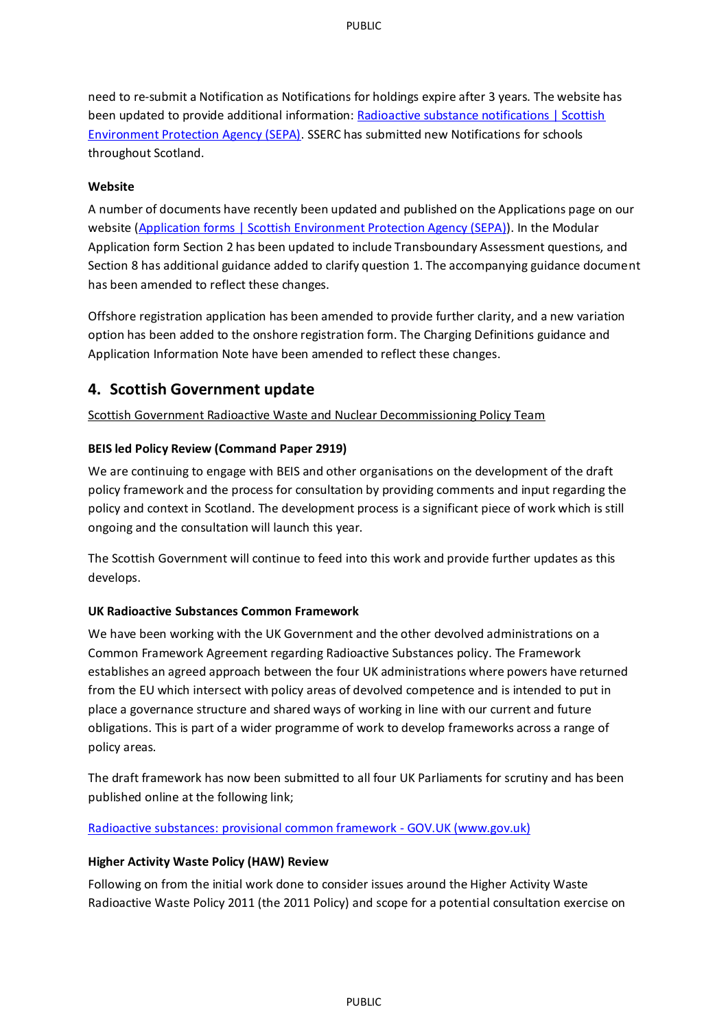need to re-submit a Notification as Notifications for holdings expire after 3 years. The website has been updated to provide additional information[: Radioactive substance notifications | Scottish](https://www.sepa.org.uk/regulations/authorisations-and-permits/application-forms/radioactive-substance-notifications/)  [Environment Protection Agency \(SEPA\).](https://www.sepa.org.uk/regulations/authorisations-and-permits/application-forms/radioactive-substance-notifications/) SSERC has submitted new Notifications for schools throughout Scotland.

#### **Website**

A number of documents have recently been updated and published on the Applications page on our website (Application forms [| Scottish Environment Protection Agency \(SEPA\)\)](https://www.sepa.org.uk/regulations/authorisations-and-permits/application-forms/#RSA). In the Modular Application form Section 2 has been updated to include Transboundary Assessment questions, and Section 8 has additional guidance added to clarify question 1. The accompanying guidance document has been amended to reflect these changes.

Offshore registration application has been amended to provide further clarity, and a new variation option has been added to the onshore registration form. The Charging Definitions guidance and Application Information Note have been amended to reflect these changes.

## **4. Scottish Government update**

Scottish Government Radioactive Waste and Nuclear Decommissioning Policy Team

#### **BEIS led Policy Review (Command Paper 2919)**

We are continuing to engage with BEIS and other organisations on the development of the draft policy framework and the process for consultation by providing comments and input regarding the policy and context in Scotland. The development process is a significant piece of work which is still ongoing and the consultation will launch this year.

The Scottish Government will continue to feed into this work and provide further updates as this develops.

#### **UK Radioactive Substances Common Framework**

We have been working with the UK Government and the other devolved administrations on a Common Framework Agreement regarding Radioactive Substances policy. The Framework establishes an agreed approach between the four UK administrations where powers have returned from the EU which intersect with policy areas of devolved competence and is intended to put in place a governance structure and shared ways of working in line with our current and future obligations. This is part of a wider programme of work to develop frameworks across a range of policy areas.

The draft framework has now been submitted to all four UK Parliaments for scrutiny and has been published online at the following link;

[Radioactive substances: provisional common framework -](https://www.gov.uk/government/publications/radioactive-substances-common-framework) GOV.UK (www.gov.uk)

#### **Higher Activity Waste Policy (HAW) Review**

Following on from the initial work done to consider issues around the Higher Activity Waste Radioactive Waste Policy 2011 (the 2011 Policy) and scope for a potential consultation exercise on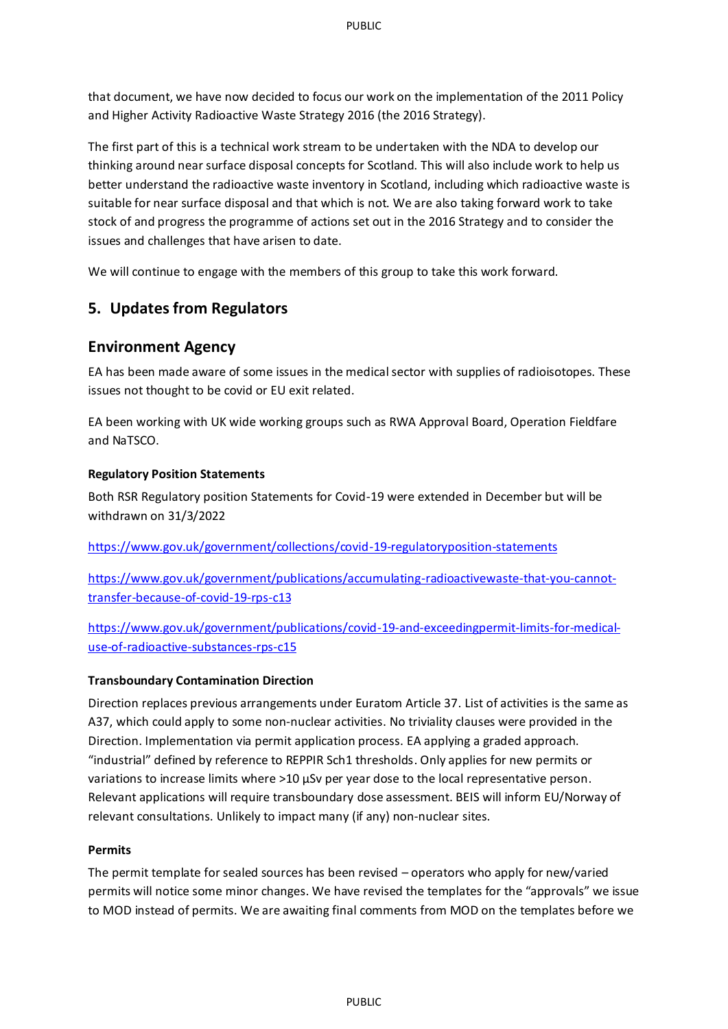that document, we have now decided to focus our work on the implementation of the 2011 Policy and Higher Activity Radioactive Waste Strategy 2016 (the 2016 Strategy).

The first part of this is a technical work stream to be undertaken with the NDA to develop our thinking around near surface disposal concepts for Scotland. This will also include work to help us better understand the radioactive waste inventory in Scotland, including which radioactive waste is suitable for near surface disposal and that which is not. We are also taking forward work to take stock of and progress the programme of actions set out in the 2016 Strategy and to consider the issues and challenges that have arisen to date.

We will continue to engage with the members of this group to take this work forward.

## **5. Updates from Regulators**

## **Environment Agency**

EA has been made aware of some issues in the medical sector with supplies of radioisotopes. These issues not thought to be covid or EU exit related.

EA been working with UK wide working groups such as RWA Approval Board, Operation Fieldfare and NaTSCO.

#### **Regulatory Position Statements**

Both RSR Regulatory position Statements for Covid-19 were extended in December but will be withdrawn on 31/3/2022

<https://www.gov.uk/government/collections/covid-19-regulatoryposition-statements>

[https://www.gov.uk/government/publications/accumulating-radioactivewaste-that-you-cannot](https://www.gov.uk/government/publications/accumulating-radioactivewaste-that-you-cannot-transfer-because-of-covid-19-rps-c13)[transfer-because-of-covid-19-rps-c13](https://www.gov.uk/government/publications/accumulating-radioactivewaste-that-you-cannot-transfer-because-of-covid-19-rps-c13)

[https://www.gov.uk/government/publications/covid-19-and-exceedingpermit-limits-for-medical](https://www.gov.uk/government/publications/covid-19-and-exceedingpermit-limits-for-medical-use-of-radioactive-substances-rps-c15)[use-of-radioactive-substances-rps-c15](https://www.gov.uk/government/publications/covid-19-and-exceedingpermit-limits-for-medical-use-of-radioactive-substances-rps-c15)

#### **Transboundary Contamination Direction**

Direction replaces previous arrangements under Euratom Article 37. List of activities is the same as A37, which could apply to some non-nuclear activities. No triviality clauses were provided in the Direction. Implementation via permit application process. EA applying a graded approach. "industrial" defined by reference to REPPIR Sch1 thresholds. Only applies for new permits or variations to increase limits where >10 µSv per year dose to the local representative person. Relevant applications will require transboundary dose assessment. BEIS will inform EU/Norway of relevant consultations. Unlikely to impact many (if any) non-nuclear sites.

#### **Permits**

The permit template for sealed sources has been revised – operators who apply for new/varied permits will notice some minor changes. We have revised the templates for the "approvals" we issue to MOD instead of permits. We are awaiting final comments from MOD on the templates before we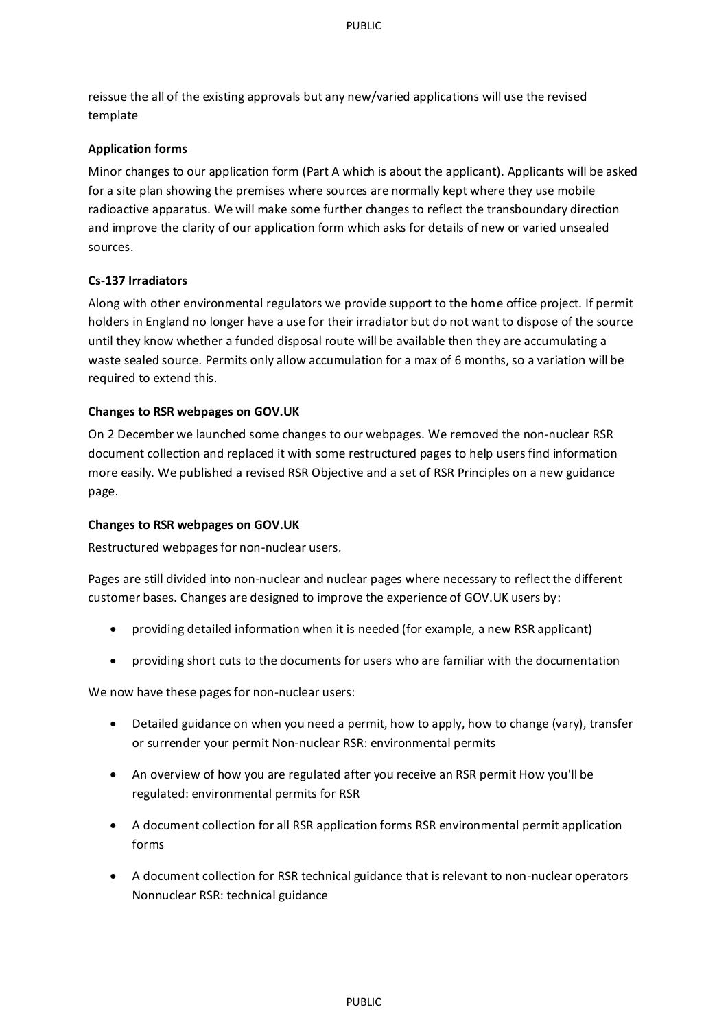reissue the all of the existing approvals but any new/varied applications will use the revised template

#### **Application forms**

Minor changes to our application form (Part A which is about the applicant). Applicants will be asked for a site plan showing the premises where sources are normally kept where they use mobile radioactive apparatus. We will make some further changes to reflect the transboundary direction and improve the clarity of our application form which asks for details of new or varied unsealed sources.

#### **Cs-137 Irradiators**

Along with other environmental regulators we provide support to the home office project. If permit holders in England no longer have a use for their irradiator but do not want to dispose of the source until they know whether a funded disposal route will be available then they are accumulating a waste sealed source. Permits only allow accumulation for a max of 6 months, so a variation will be required to extend this.

#### **Changes to RSR webpages on GOV.UK**

On 2 December we launched some changes to our webpages. We removed the non-nuclear RSR document collection and replaced it with some restructured pages to help users find information more easily. We published a revised RSR Objective and a set of RSR Principles on a new guidance page.

#### **Changes to RSR webpages on GOV.UK**

#### Restructured webpages for non-nuclear users.

Pages are still divided into non-nuclear and nuclear pages where necessary to reflect the different customer bases. Changes are designed to improve the experience of GOV.UK users by:

- providing detailed information when it is needed (for example, a new RSR applicant)
- providing short cuts to the documents for users who are familiar with the documentation

We now have these pages for non-nuclear users:

- Detailed guidance on when you need a permit, how to apply, how to change (vary), transfer or surrender your permit Non-nuclear RSR: environmental permits
- An overview of how you are regulated after you receive an RSR permit How you'll be regulated: environmental permits for RSR
- A document collection for all RSR application forms RSR environmental permit application forms
- A document collection for RSR technical guidance that is relevant to non-nuclear operators Nonnuclear RSR: technical guidance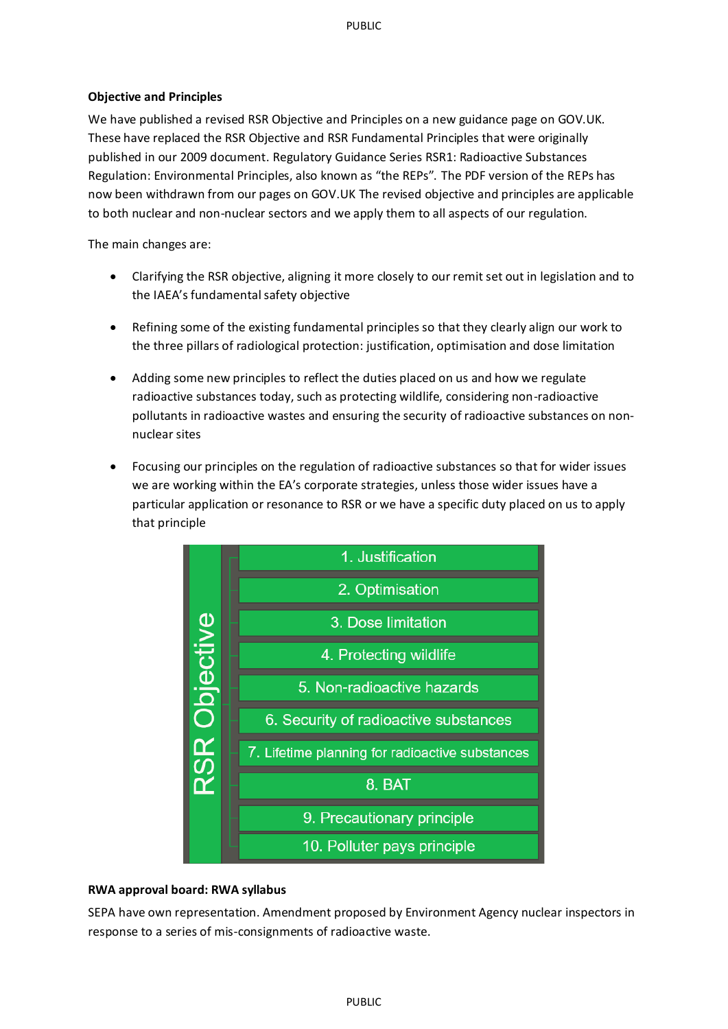#### **Objective and Principles**

We have published a revised RSR Objective and Principles on a new guidance page on GOV.UK. These have replaced the RSR Objective and RSR Fundamental Principles that were originally published in our 2009 document. Regulatory Guidance Series RSR1: Radioactive Substances Regulation: Environmental Principles, also known as "the REPs". The PDF version of the REPs has now been withdrawn from our pages on GOV.UK The revised objective and principles are applicable to both nuclear and non-nuclear sectors and we apply them to all aspects of our regulation.

The main changes are:

- Clarifying the RSR objective, aligning it more closely to our remit set out in legislation and to the IAEA's fundamental safety objective
- Refining some of the existing fundamental principles so that they clearly align our work to the three pillars of radiological protection: justification, optimisation and dose limitation
- Adding some new principles to reflect the duties placed on us and how we regulate radioactive substances today, such as protecting wildlife, considering non-radioactive pollutants in radioactive wastes and ensuring the security of radioactive substances on nonnuclear sites
- Focusing our principles on the regulation of radioactive substances so that for wider issues we are working within the EA's corporate strategies, unless those wider issues have a particular application or resonance to RSR or we have a specific duty placed on us to apply that principle



#### **RWA approval board: RWA syllabus**

SEPA have own representation. Amendment proposed by Environment Agency nuclear inspectors in response to a series of mis-consignments of radioactive waste.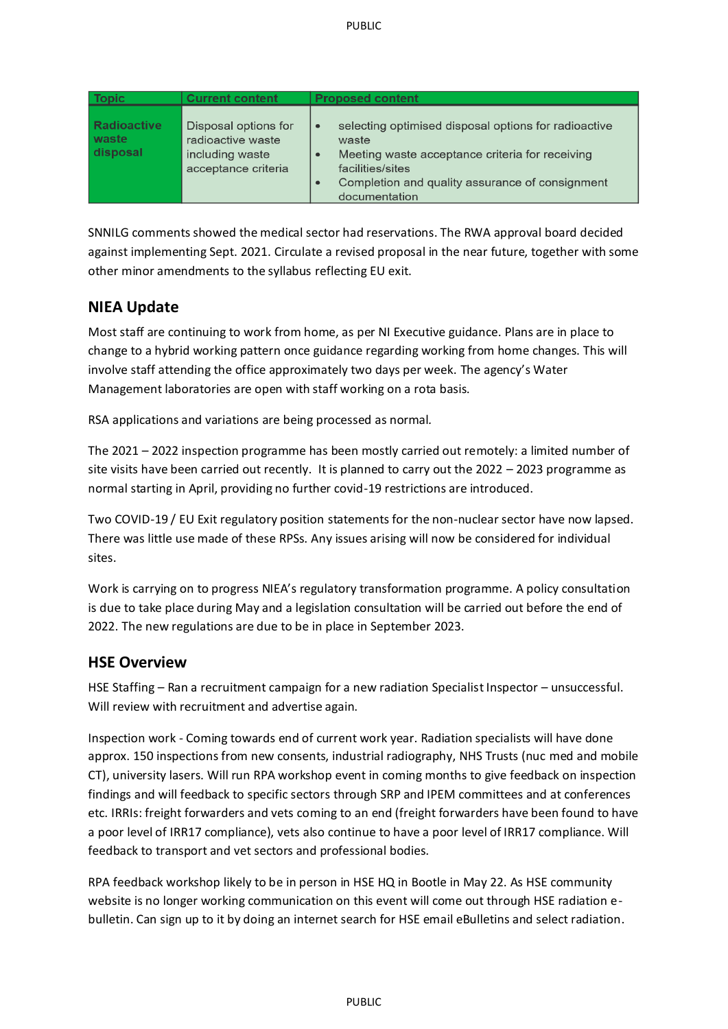| <b>Topic</b>                            | <b>Current content</b>                                                              | <b>Proposed content</b>                                                                                                                                                                                               |
|-----------------------------------------|-------------------------------------------------------------------------------------|-----------------------------------------------------------------------------------------------------------------------------------------------------------------------------------------------------------------------|
| <b>Radioactive</b><br>waste<br>disposal | Disposal options for<br>radioactive waste<br>including waste<br>acceptance criteria | selecting optimised disposal options for radioactive<br>$\bullet$<br>waste<br>Meeting waste acceptance criteria for receiving<br>facilities/sites<br>Completion and quality assurance of consignment<br>documentation |

SNNILG comments showed the medical sector had reservations. The RWA approval board decided against implementing Sept. 2021. Circulate a revised proposal in the near future, together with some other minor amendments to the syllabus reflecting EU exit.

## **NIEA Update**

Most staff are continuing to work from home, as per NI Executive guidance. Plans are in place to change to a hybrid working pattern once guidance regarding working from home changes. This will involve staff attending the office approximately two days per week. The agency's Water Management laboratories are open with staff working on a rota basis.

RSA applications and variations are being processed as normal*.*

The 2021 – 2022 inspection programme has been mostly carried out remotely: a limited number of site visits have been carried out recently. It is planned to carry out the 2022 – 2023 programme as normal starting in April, providing no further covid-19 restrictions are introduced.

Two COVID-19 / EU Exit regulatory position statements for the non-nuclear sector have now lapsed. There was little use made of these RPSs. Any issues arising will now be considered for individual sites.

Work is carrying on to progress NIEA's regulatory transformation programme. A policy consultation is due to take place during May and a legislation consultation will be carried out before the end of 2022. The new regulations are due to be in place in September 2023.

### **HSE Overview**

HSE Staffing – Ran a recruitment campaign for a new radiation Specialist Inspector – unsuccessful. Will review with recruitment and advertise again.

Inspection work - Coming towards end of current work year. Radiation specialists will have done approx. 150 inspections from new consents, industrial radiography, NHS Trusts (nuc med and mobile CT), university lasers. Will run RPA workshop event in coming months to give feedback on inspection findings and will feedback to specific sectors through SRP and IPEM committees and at conferences etc. IRRIs: freight forwarders and vets coming to an end (freight forwarders have been found to have a poor level of IRR17 compliance), vets also continue to have a poor level of IRR17 compliance. Will feedback to transport and vet sectors and professional bodies.

RPA feedback workshop likely to be in person in HSE HQ in Bootle in May 22. As HSE community website is no longer working communication on this event will come out through HSE radiation ebulletin. Can sign up to it by doing an internet search for HSE email eBulletins and select radiation.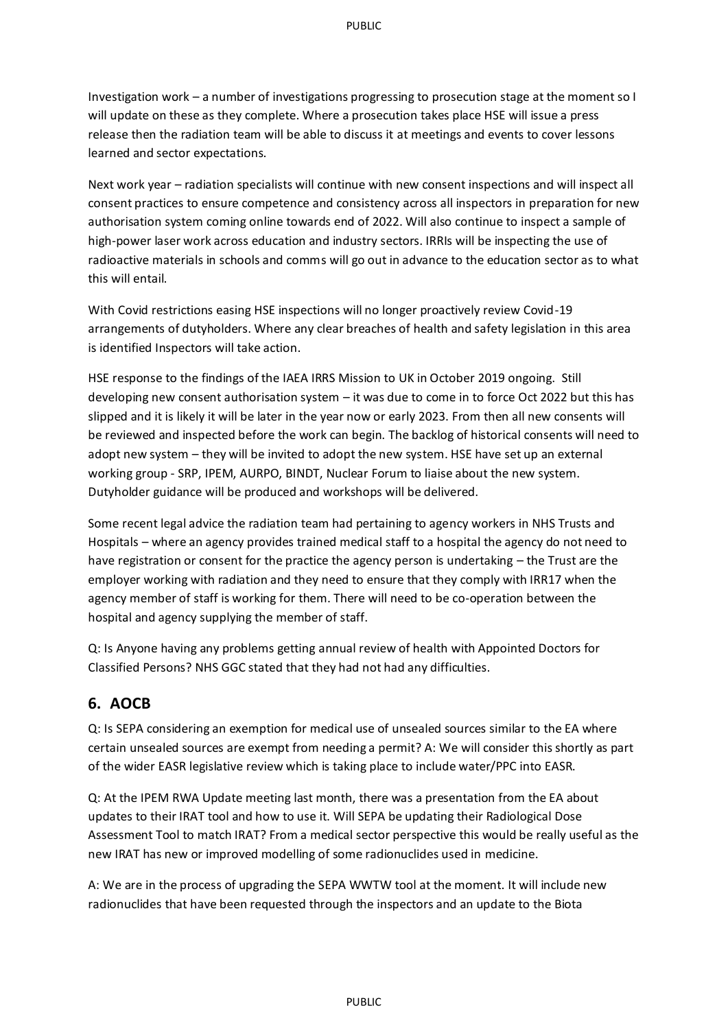Investigation work – a number of investigations progressing to prosecution stage at the moment so I will update on these as they complete. Where a prosecution takes place HSE will issue a press release then the radiation team will be able to discuss it at meetings and events to cover lessons learned and sector expectations.

Next work year – radiation specialists will continue with new consent inspections and will inspect all consent practices to ensure competence and consistency across all inspectors in preparation for new authorisation system coming online towards end of 2022. Will also continue to inspect a sample of high-power laser work across education and industry sectors. IRRIs will be inspecting the use of radioactive materials in schools and comms will go out in advance to the education sector as to what this will entail.

With Covid restrictions easing HSE inspections will no longer proactively review Covid-19 arrangements of dutyholders. Where any clear breaches of health and safety legislation in this area is identified Inspectors will take action.

HSE response to the findings of the IAEA IRRS Mission to UK in October 2019 ongoing. Still developing new consent authorisation system – it was due to come in to force Oct 2022 but this has slipped and it is likely it will be later in the year now or early 2023. From then all new consents will be reviewed and inspected before the work can begin. The backlog of historical consents will need to adopt new system – they will be invited to adopt the new system. HSE have set up an external working group - SRP, IPEM, AURPO, BINDT, Nuclear Forum to liaise about the new system. Dutyholder guidance will be produced and workshops will be delivered.

Some recent legal advice the radiation team had pertaining to agency workers in NHS Trusts and Hospitals – where an agency provides trained medical staff to a hospital the agency do not need to have registration or consent for the practice the agency person is undertaking – the Trust are the employer working with radiation and they need to ensure that they comply with IRR17 when the agency member of staff is working for them. There will need to be co-operation between the hospital and agency supplying the member of staff.

Q: Is Anyone having any problems getting annual review of health with Appointed Doctors for Classified Persons? NHS GGC stated that they had not had any difficulties.

## **6. AOCB**

Q: Is SEPA considering an exemption for medical use of unsealed sources similar to the EA where certain unsealed sources are exempt from needing a permit? A: We will consider this shortly as part of the wider EASR legislative review which is taking place to include water/PPC into EASR.

Q: At the IPEM RWA Update meeting last month, there was a presentation from the EA about updates to their IRAT tool and how to use it. Will SEPA be updating their Radiological Dose Assessment Tool to match IRAT? From a medical sector perspective this would be really useful as the new IRAT has new or improved modelling of some radionuclides used in medicine.

A: We are in the process of upgrading the SEPA WWTW tool at the moment. It will include new radionuclides that have been requested through the inspectors and an update to the Biota